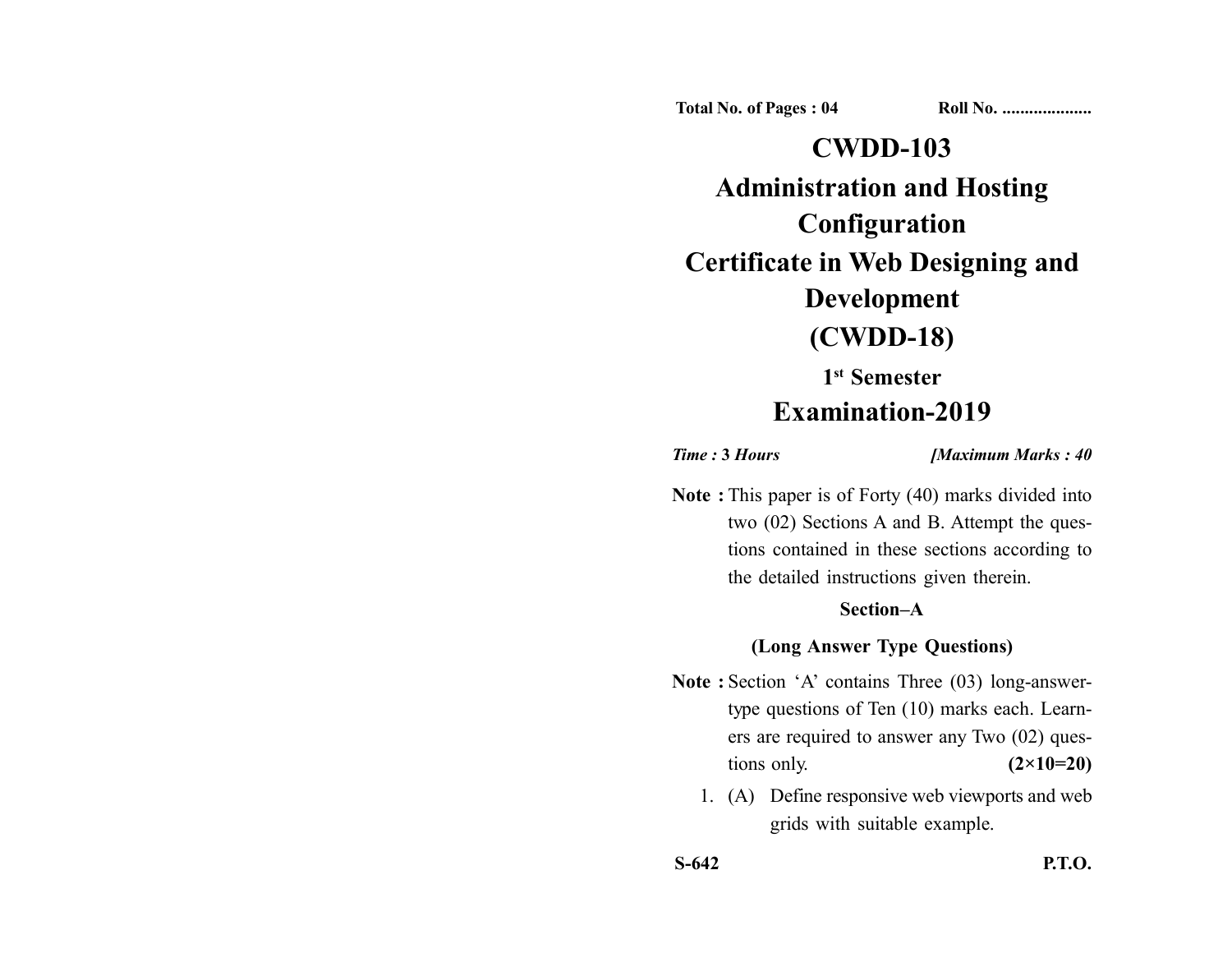**Total No. of Pages : 04 Roll No. ...................** 

# **CWDD-103 Administration and Hosting Configuration Certificate in Web Designing and Development (CWDD-18)**

# **1st Semester**

# **Examination-2019**

*Time :* **3** *Hours [Maximum Marks : 40*

**Note :** This paper is of Forty (40) marks divided into two (02) Sections A and B. Attempt the questions contained in these sections according to the detailed instructions given therein.

### **Section–A**

#### **(Long Answer Type Questions)**

- **Note :** Section 'A' contains Three (03) long-answertype questions of Ten (10) marks each. Learners are required to answer any Two (02) questions only. **(2×10=20)** 
	- 1. (A) Define responsive web viewports and web grids with suitable example.